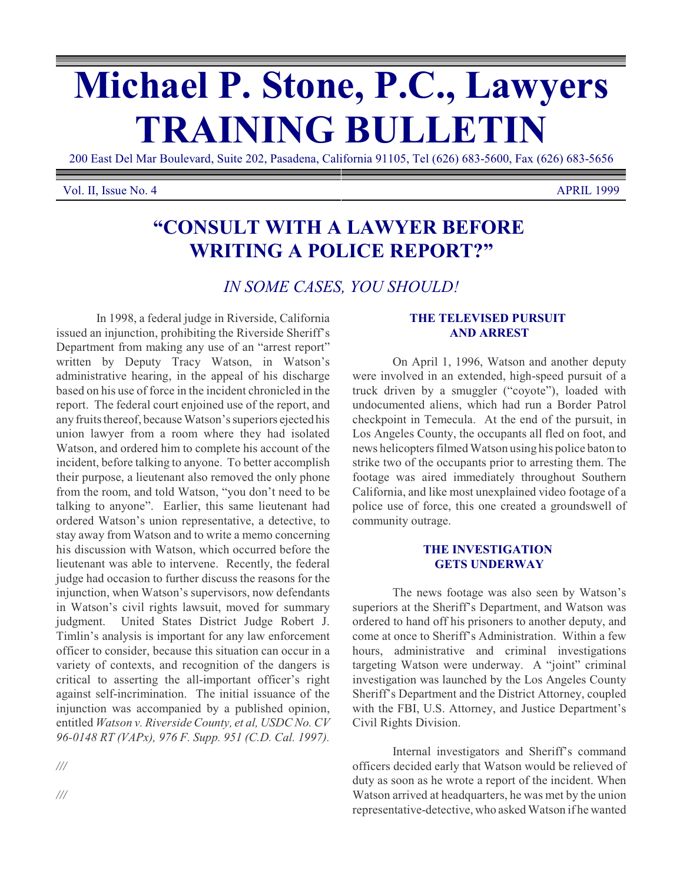# **Michael P. Stone, P.C., Lawyers TRAINING BULLETIN**

200 East Del Mar Boulevard, Suite 202, Pasadena, California 91105, Tel (626) 683-5600, Fax (626) 683-5656

#### Vol. II, Issue No. 4 APRIL 1999

# **"CONSULT WITH A LAWYER BEFORE WRITING A POLICE REPORT?"**

*IN SOME CASES, YOU SHOULD!*

In 1998, a federal judge in Riverside, California issued an injunction, prohibiting the Riverside Sheriff's Department from making any use of an "arrest report" written by Deputy Tracy Watson, in Watson's administrative hearing, in the appeal of his discharge based on his use of force in the incident chronicled in the report. The federal court enjoined use of the report, and any fruits thereof, because Watson's superiors ejected his union lawyer from a room where they had isolated Watson, and ordered him to complete his account of the incident, before talking to anyone. To better accomplish their purpose, a lieutenant also removed the only phone from the room, and told Watson, "you don't need to be talking to anyone". Earlier, this same lieutenant had ordered Watson's union representative, a detective, to stay away from Watson and to write a memo concerning his discussion with Watson, which occurred before the lieutenant was able to intervene. Recently, the federal judge had occasion to further discuss the reasons for the injunction, when Watson's supervisors, now defendants in Watson's civil rights lawsuit, moved for summary judgment. United States District Judge Robert J. Timlin's analysis is important for any law enforcement officer to consider, because this situation can occur in a variety of contexts, and recognition of the dangers is critical to asserting the all-important officer's right against self-incrimination. The initial issuance of the injunction was accompanied by a published opinion, entitled *Watson v. Riverside County, et al, USDC No. CV 96-0148 RT (VAPx), 976 F. Supp. 951 (C.D. Cal. 1997).*

*///*

## **THE TELEVISED PURSUIT AND ARREST**

On April 1, 1996, Watson and another deputy were involved in an extended, high-speed pursuit of a truck driven by a smuggler ("coyote"), loaded with undocumented aliens, which had run a Border Patrol checkpoint in Temecula. At the end of the pursuit, in Los Angeles County, the occupants all fled on foot, and news helicopters filmed Watson using his police baton to strike two of the occupants prior to arresting them. The footage was aired immediately throughout Southern California, and like most unexplained video footage of a police use of force, this one created a groundswell of community outrage.

### **THE INVESTIGATION GETS UNDERWAY**

The news footage was also seen by Watson's superiors at the Sheriff's Department, and Watson was ordered to hand off his prisoners to another deputy, and come at once to Sheriff's Administration. Within a few hours, administrative and criminal investigations targeting Watson were underway. A "joint" criminal investigation was launched by the Los Angeles County Sheriff's Department and the District Attorney, coupled with the FBI, U.S. Attorney, and Justice Department's Civil Rights Division.

Internal investigators and Sheriff's command officers decided early that Watson would be relieved of duty as soon as he wrote a report of the incident. When Watson arrived at headquarters, he was met by the union representative-detective, who asked Watson if he wanted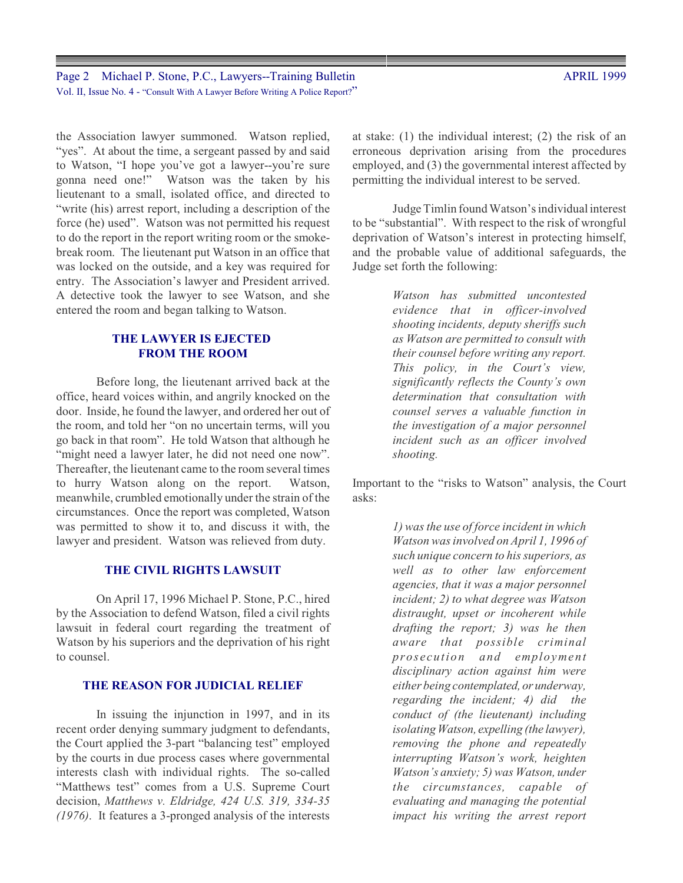Page 2 Michael P. Stone, P.C., Lawyers--Training Bulletin Vol. II, Issue No. 4 - "Consult With A Lawyer Before Writing A Police Report?"

the Association lawyer summoned. Watson replied, "yes". At about the time, a sergeant passed by and said to Watson, "I hope you've got a lawyer--you're sure gonna need one!" Watson was the taken by his lieutenant to a small, isolated office, and directed to "write (his) arrest report, including a description of the force (he) used". Watson was not permitted his request to do the report in the report writing room or the smokebreak room. The lieutenant put Watson in an office that was locked on the outside, and a key was required for entry. The Association's lawyer and President arrived. A detective took the lawyer to see Watson, and she entered the room and began talking to Watson.

## **THE LAWYER IS EJECTED FROM THE ROOM**

Before long, the lieutenant arrived back at the office, heard voices within, and angrily knocked on the door. Inside, he found the lawyer, and ordered her out of the room, and told her "on no uncertain terms, will you go back in that room". He told Watson that although he "might need a lawyer later, he did not need one now". Thereafter, the lieutenant came to the room several times to hurry Watson along on the report. Watson, meanwhile, crumbled emotionally under the strain of the circumstances. Once the report was completed, Watson was permitted to show it to, and discuss it with, the lawyer and president. Watson was relieved from duty.

## **THE CIVIL RIGHTS LAWSUIT**

On April 17, 1996 Michael P. Stone, P.C., hired by the Association to defend Watson, filed a civil rights lawsuit in federal court regarding the treatment of Watson by his superiors and the deprivation of his right to counsel.

#### **THE REASON FOR JUDICIAL RELIEF**

In issuing the injunction in 1997, and in its recent order denying summary judgment to defendants, the Court applied the 3-part "balancing test" employed by the courts in due process cases where governmental interests clash with individual rights. The so-called "Matthews test" comes from a U.S. Supreme Court decision, *Matthews v. Eldridge, 424 U.S. 319, 334-35 (1976)*. It features a 3-pronged analysis of the interests at stake: (1) the individual interest; (2) the risk of an erroneous deprivation arising from the procedures employed, and (3) the governmental interest affected by permitting the individual interest to be served.

Judge Timlin found Watson's individual interest to be "substantial". With respect to the risk of wrongful deprivation of Watson's interest in protecting himself, and the probable value of additional safeguards, the Judge set forth the following:

> *Watson has submitted uncontested evidence that in officer-involved shooting incidents, deputy sheriffs such as Watson are permitted to consult with their counsel before writing any report. This policy, in the Court's view, significantly reflects the County's own determination that consultation with counsel serves a valuable function in the investigation of a major personnel incident such as an officer involved shooting.*

Important to the "risks to Watson" analysis, the Court asks:

> *1) wasthe use of force incident in which Watson wasinvolved on April 1, 1996 of such unique concern to his superiors, as well as to other law enforcement agencies, that it was a major personnel incident; 2) to what degree was Watson distraught, upset or incoherent while drafting the report; 3) was he then aware that possible criminal prosecution and employment disciplinary action against him were either being contemplated, or underway, regarding the incident; 4) did the conduct of (the lieutenant) including isolating Watson, expelling (the lawyer), removing the phone and repeatedly interrupting Watson's work, heighten Watson's anxiety; 5) was Watson, under the circumstances, capable of evaluating and managing the potential impact his writing the arrest report*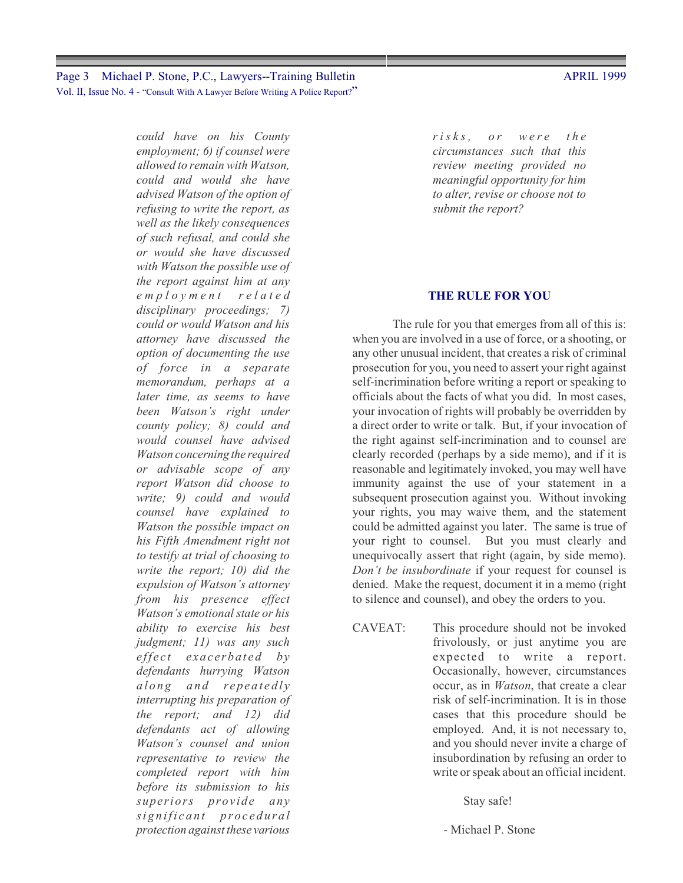*could have on his County employment; 6) if counsel were allowed to remain with Watson, could and would she have advised Watson of the option of refusing to write the report, as well as the likely consequences of such refusal, and could she or would she have discussed with Watson the possible use of the report against him at any e m p l o y men t related disciplinary proceedings; 7) could or would Watson and his attorney have discussed the option of documenting the use of force in a separate memorandum, perhaps at a later time, as seems to have been Watson's right under county policy; 8) could and would counsel have advised Watson concerning the required or advisable scope of any report Watson did choose to write; 9) could and would counsel have explained to Watson the possible impact on his Fifth Amendment right not to testify at trial of choosing to write the report; 10) did the expulsion of Watson's attorney from his presence effect Watson's emotional state or his ability to exercise his best judgment; 11) was any such effect* exacerbated by *defendants hurrying Watson a l o n g a n d r epea t e d l y interrupting his preparation of the report; and 12) did defendants act of allowing Watson's counsel and union representative to review the completed report with him before its submission to his superiors provide any*  $signal$  *procedural protection against these various*

*r i s k s , o r w ere th e circumstances such that this review meeting provided no meaningful opportunity for him to alter, revise or choose not to submit the report?*

#### **THE RULE FOR YOU**

The rule for you that emerges from all of this is: when you are involved in a use of force, or a shooting, or any other unusual incident, that creates a risk of criminal prosecution for you, you need to assert your right against self-incrimination before writing a report or speaking to officials about the facts of what you did. In most cases, your invocation of rights will probably be overridden by a direct order to write or talk. But, if your invocation of the right against self-incrimination and to counsel are clearly recorded (perhaps by a side memo), and if it is reasonable and legitimately invoked, you may well have immunity against the use of your statement in a subsequent prosecution against you. Without invoking your rights, you may waive them, and the statement could be admitted against you later. The same is true of your right to counsel. But you must clearly and unequivocally assert that right (again, by side memo). *Don't be insubordinate* if your request for counsel is denied. Make the request, document it in a memo (right to silence and counsel), and obey the orders to you.

CAVEAT: This procedure should not be invoked frivolously, or just anytime you are expected to write a report. Occasionally, however, circumstances occur, as in *Watson*, that create a clear risk of self-incrimination. It is in those cases that this procedure should be employed. And, it is not necessary to, and you should never invite a charge of insubordination by refusing an order to write or speak about an official incident.

Stay safe!

- Michael P. Stone